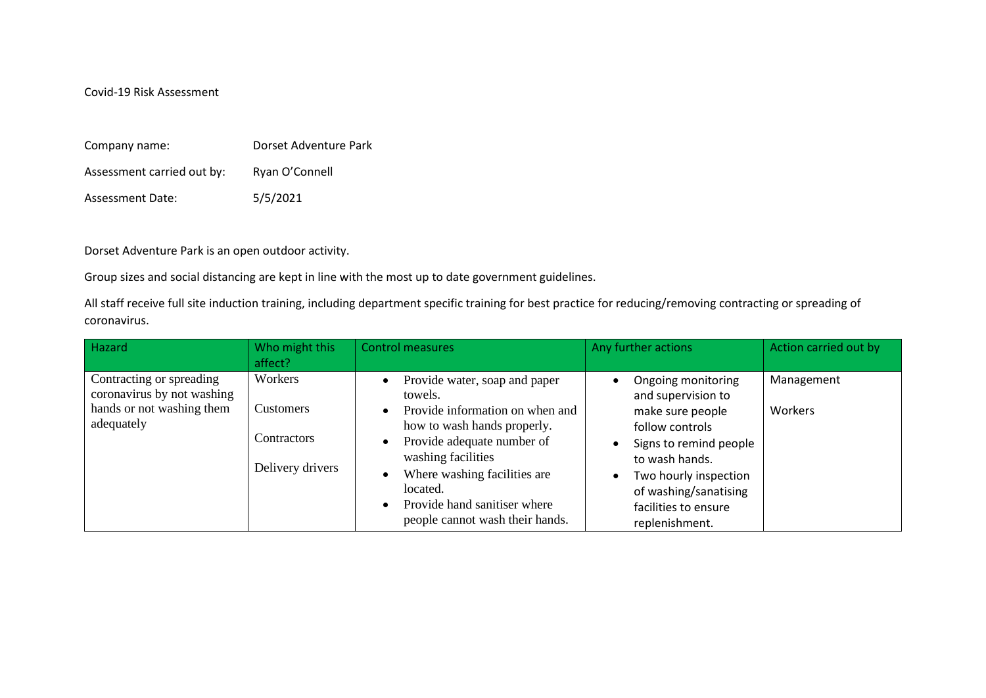Covid-19 Risk Assessment

| Company name:              | Dorset Adventure Park |
|----------------------------|-----------------------|
| Assessment carried out by: | Ryan O'Connell        |
| <b>Assessment Date:</b>    | 5/5/2021              |

Dorset Adventure Park is an open outdoor activity.

Group sizes and social distancing are kept in line with the most up to date government guidelines.

All staff receive full site induction training, including department specific training for best practice for reducing/removing contracting or spreading of coronavirus.

| Hazard                                                                                            | Who might this<br>affect?                                             | <b>Control measures</b>                                                                                                                                                                                                                                                                                              | Any further actions                                                                                                                                                                                                     | Action carried out by |
|---------------------------------------------------------------------------------------------------|-----------------------------------------------------------------------|----------------------------------------------------------------------------------------------------------------------------------------------------------------------------------------------------------------------------------------------------------------------------------------------------------------------|-------------------------------------------------------------------------------------------------------------------------------------------------------------------------------------------------------------------------|-----------------------|
| Contracting or spreading<br>coronavirus by not washing<br>hands or not washing them<br>adequately | Workers<br><b>Customers</b><br><b>Contractors</b><br>Delivery drivers | Provide water, soap and paper<br>$\bullet$<br>towels.<br>Provide information on when and<br>$\bullet$<br>how to wash hands properly.<br>Provide adequate number of<br>$\bullet$<br>washing facilities<br>Where washing facilities are<br>located.<br>Provide hand sanitiser where<br>people cannot wash their hands. | Ongoing monitoring<br>and supervision to<br>make sure people<br>follow controls<br>Signs to remind people<br>to wash hands.<br>Two hourly inspection<br>of washing/sanatising<br>facilities to ensure<br>replenishment. | Management<br>Workers |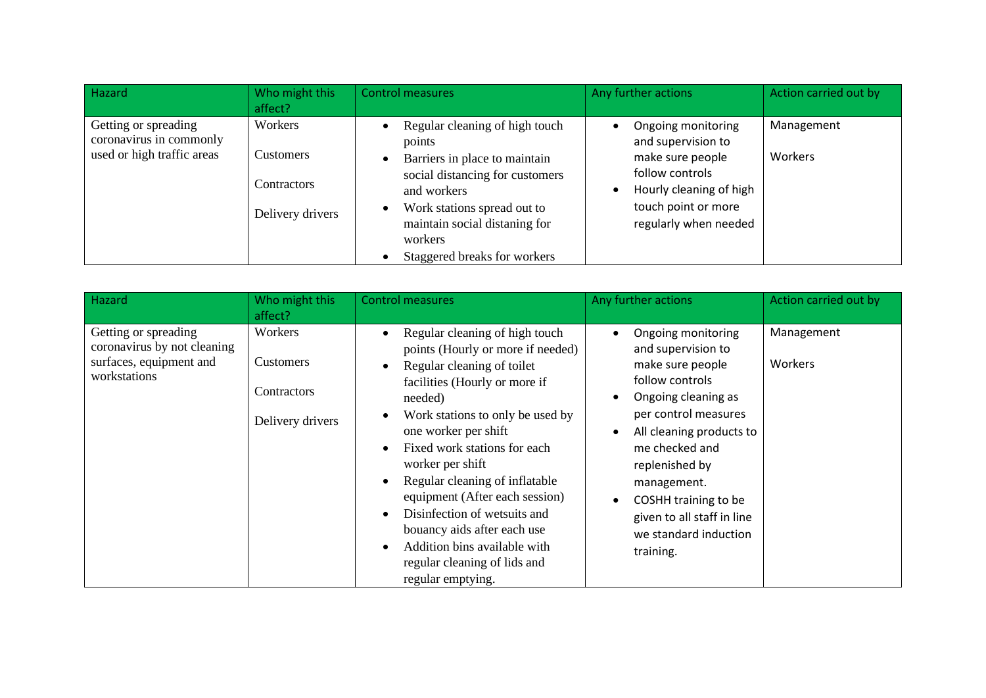| Hazard                                                                        | Who might this<br>affect?                                      | <b>Control measures</b>                                                                                                                                                                                                                                          | Any further actions                                                                                                                                                     | Action carried out by |
|-------------------------------------------------------------------------------|----------------------------------------------------------------|------------------------------------------------------------------------------------------------------------------------------------------------------------------------------------------------------------------------------------------------------------------|-------------------------------------------------------------------------------------------------------------------------------------------------------------------------|-----------------------|
| Getting or spreading<br>coronavirus in commonly<br>used or high traffic areas | Workers<br>Customers<br><b>Contractors</b><br>Delivery drivers | Regular cleaning of high touch<br>points<br>Barriers in place to maintain<br>$\bullet$<br>social distancing for customers<br>and workers<br>Work stations spread out to<br>$\bullet$<br>maintain social distaning for<br>workers<br>Staggered breaks for workers | Ongoing monitoring<br>and supervision to<br>make sure people<br>follow controls<br>Hourly cleaning of high<br>$\bullet$<br>touch point or more<br>regularly when needed | Management<br>Workers |

| Hazard                                                                                         | Who might this<br>affect?                                      | <b>Control measures</b>                                                                                                                                                                                                                                                                                                                                                                                                                                                                                                                                                          | Any further actions                                                                                                                                                                                                                                                                                                                                           | Action carried out by |
|------------------------------------------------------------------------------------------------|----------------------------------------------------------------|----------------------------------------------------------------------------------------------------------------------------------------------------------------------------------------------------------------------------------------------------------------------------------------------------------------------------------------------------------------------------------------------------------------------------------------------------------------------------------------------------------------------------------------------------------------------------------|---------------------------------------------------------------------------------------------------------------------------------------------------------------------------------------------------------------------------------------------------------------------------------------------------------------------------------------------------------------|-----------------------|
| Getting or spreading<br>coronavirus by not cleaning<br>surfaces, equipment and<br>workstations | Workers<br><b>Customers</b><br>Contractors<br>Delivery drivers | Regular cleaning of high touch<br>$\bullet$<br>points (Hourly or more if needed)<br>Regular cleaning of toilet<br>$\bullet$<br>facilities (Hourly or more if<br>needed)<br>Work stations to only be used by<br>$\bullet$<br>one worker per shift<br>Fixed work stations for each<br>$\bullet$<br>worker per shift<br>Regular cleaning of inflatable<br>$\bullet$<br>equipment (After each session)<br>Disinfection of wetsuits and<br>$\bullet$<br>bouancy aids after each use<br>Addition bins available with<br>$\bullet$<br>regular cleaning of lids and<br>regular emptying. | Ongoing monitoring<br>$\bullet$<br>and supervision to<br>make sure people<br>follow controls<br>Ongoing cleaning as<br>$\bullet$<br>per control measures<br>All cleaning products to<br>$\bullet$<br>me checked and<br>replenished by<br>management.<br>COSHH training to be<br>$\bullet$<br>given to all staff in line<br>we standard induction<br>training. | Management<br>Workers |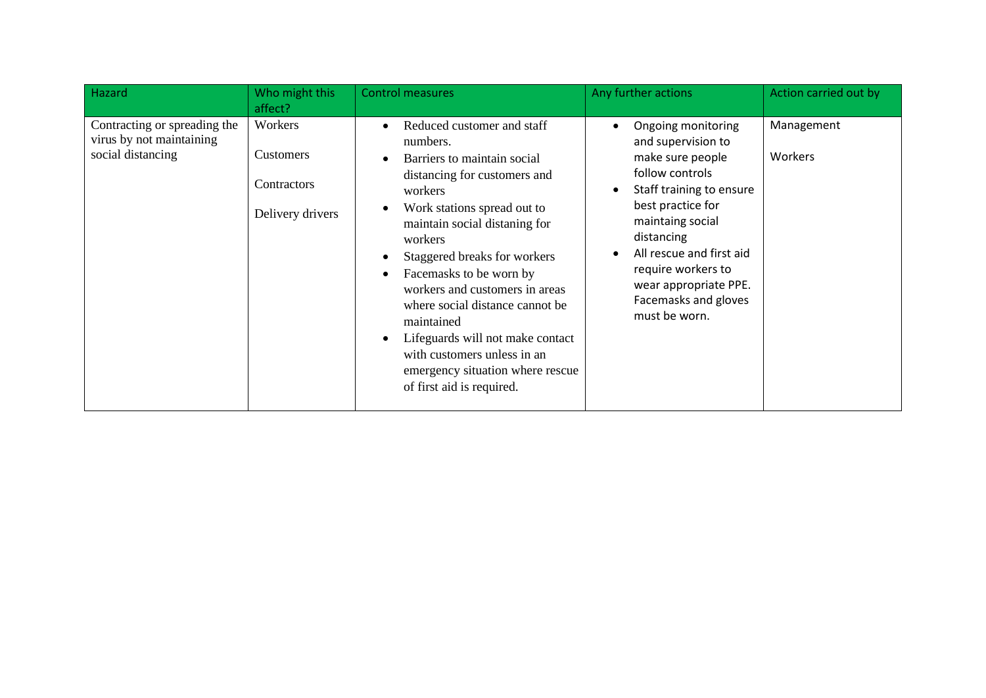| Hazard                                                                        | Who might this<br>affect?                               | <b>Control measures</b>                                                                                                                                                                                                                                                                                                                                                                                                                                                                                                                                     | Any further actions                                                                                                                                                                                                                                                                                                           | Action carried out by |
|-------------------------------------------------------------------------------|---------------------------------------------------------|-------------------------------------------------------------------------------------------------------------------------------------------------------------------------------------------------------------------------------------------------------------------------------------------------------------------------------------------------------------------------------------------------------------------------------------------------------------------------------------------------------------------------------------------------------------|-------------------------------------------------------------------------------------------------------------------------------------------------------------------------------------------------------------------------------------------------------------------------------------------------------------------------------|-----------------------|
| Contracting or spreading the<br>virus by not maintaining<br>social distancing | Workers<br>Customers<br>Contractors<br>Delivery drivers | Reduced customer and staff<br>$\bullet$<br>numbers.<br>Barriers to maintain social<br>$\bullet$<br>distancing for customers and<br>workers<br>Work stations spread out to<br>$\bullet$<br>maintain social distaning for<br>workers<br>Staggered breaks for workers<br>$\bullet$<br>Facemasks to be worn by<br>$\bullet$<br>workers and customers in areas<br>where social distance cannot be<br>maintained<br>Lifeguards will not make contact<br>$\bullet$<br>with customers unless in an<br>emergency situation where rescue<br>of first aid is required. | Ongoing monitoring<br>$\bullet$<br>and supervision to<br>make sure people<br>follow controls<br>Staff training to ensure<br>$\bullet$<br>best practice for<br>maintaing social<br>distancing<br>All rescue and first aid<br>$\bullet$<br>require workers to<br>wear appropriate PPE.<br>Facemasks and gloves<br>must be worn. | Management<br>Workers |